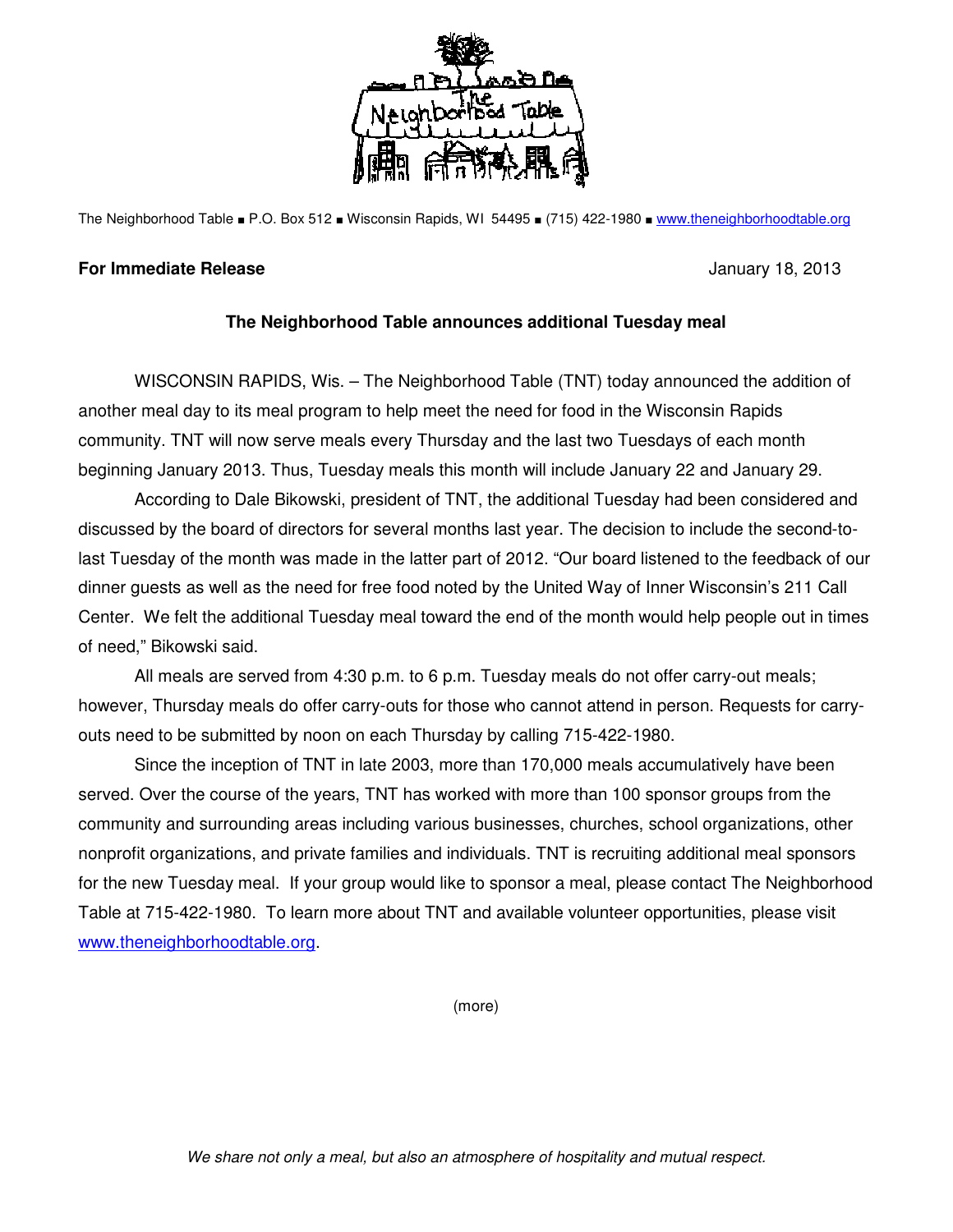

The Neighborhood Table ■ P.O. Box 512 ■ Wisconsin Rapids, WI 54495 ■ (715) 422-1980 ■ www.theneighborhoodtable.org

## **For Immediate Release** January 18, 2013

## **The Neighborhood Table announces additional Tuesday meal**

 WISCONSIN RAPIDS, Wis. – The Neighborhood Table (TNT) today announced the addition of another meal day to its meal program to help meet the need for food in the Wisconsin Rapids community. TNT will now serve meals every Thursday and the last two Tuesdays of each month beginning January 2013. Thus, Tuesday meals this month will include January 22 and January 29.

 According to Dale Bikowski, president of TNT, the additional Tuesday had been considered and discussed by the board of directors for several months last year. The decision to include the second-tolast Tuesday of the month was made in the latter part of 2012. "Our board listened to the feedback of our dinner guests as well as the need for free food noted by the United Way of Inner Wisconsin's 211 Call Center. We felt the additional Tuesday meal toward the end of the month would help people out in times of need," Bikowski said.

All meals are served from 4:30 p.m. to 6 p.m. Tuesday meals do not offer carry-out meals; however, Thursday meals do offer carry-outs for those who cannot attend in person. Requests for carryouts need to be submitted by noon on each Thursday by calling 715-422-1980.

Since the inception of TNT in late 2003, more than 170,000 meals accumulatively have been served. Over the course of the years, TNT has worked with more than 100 sponsor groups from the community and surrounding areas including various businesses, churches, school organizations, other nonprofit organizations, and private families and individuals. TNT is recruiting additional meal sponsors for the new Tuesday meal. If your group would like to sponsor a meal, please contact The Neighborhood Table at 715-422-1980. To learn more about TNT and available volunteer opportunities, please visit www.theneighborhoodtable.org.

(more)